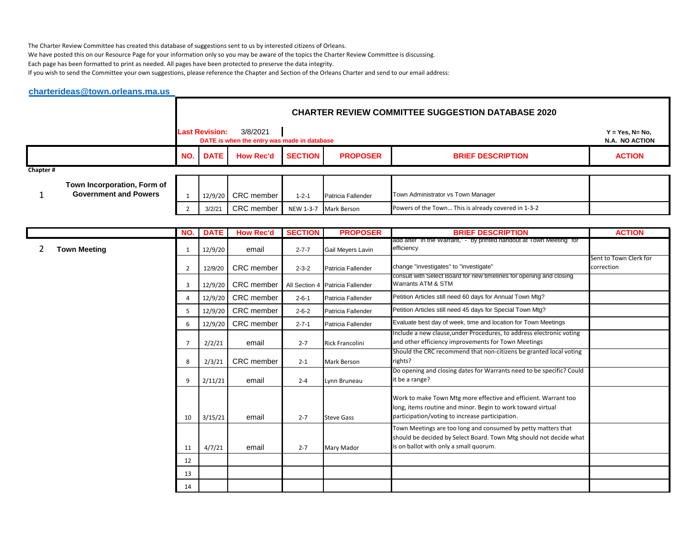The Charter Review Committee has created this database of suggestions sent to us by interested citizens of Orleans.

We have posted this on our Resource Page for your information only so you may be aware of the topics the Charter Review Committee is discussing.

Each page has been formatted to print as needed. All pages have been protected to preserve the data integrity.

If you wish to send the Committee your own suggestions, please reference the Chapter and Section of the Orleans Charter and send to our email address:

## **[charterideas@town.orleans.ma.us](mailto:charterideas@town.orleans.ma.us)**

|          |                                                             |     | <b>CHARTER REVIEW COMMITTEE SUGGESTION DATABASE 2020</b> |                                                         |                |                    |                                                     |                                      |  |  |  |
|----------|-------------------------------------------------------------|-----|----------------------------------------------------------|---------------------------------------------------------|----------------|--------------------|-----------------------------------------------------|--------------------------------------|--|--|--|
|          |                                                             |     | <b>Last Revision:</b>                                    | 3/8/2021<br>DATE is when the entry was made in database |                |                    |                                                     | $Y = Yes, N = No,$<br>N.A. NO ACTION |  |  |  |
|          |                                                             | NO. | <b>DATE</b>                                              | <b>How Rec'd</b>                                        | <b>SECTION</b> | <b>PROPOSER</b>    | <b>BRIEF DESCRIPTION</b>                            | <b>ACTION</b>                        |  |  |  |
| Chapter# |                                                             |     |                                                          |                                                         |                |                    |                                                     |                                      |  |  |  |
|          | Town Incorporation, Form of<br><b>Government and Powers</b> |     | 12/9/20                                                  | CRC member                                              | $1 - 2 - 1$    | Patricia Fallender | Town Administrator vs Town Manager                  |                                      |  |  |  |
|          |                                                             |     | 3/2/21                                                   | CRC member                                              | NEW 1-3-7      | <b>Mark Berson</b> | Powers of the Town This is already covered in 1-3-2 |                                      |  |  |  |

|                     | NO.            | <b>DATE</b> | <b>How Rec'd</b>  | <b>SECTION</b> | <b>PROPOSER</b>                  | <b>BRIEF DESCRIPTION</b>                                                                                                                                                          | <b>ACTION</b>                        |
|---------------------|----------------|-------------|-------------------|----------------|----------------------------------|-----------------------------------------------------------------------------------------------------------------------------------------------------------------------------------|--------------------------------------|
| <b>Town Meeting</b> | 1              | 12/9/20     | email             | $2 - 7 - 7$    | Gail Meyers Lavin                | add after "in the Warrant," - "by printed handout at Town Meeting" for<br>efficiency                                                                                              |                                      |
|                     | $\overline{2}$ | 12/9/20     | <b>CRC</b> member | $2 - 3 - 2$    | Patricia Fallender               | change "investigates" to "investigate"                                                                                                                                            | Sent to Town Clerk for<br>correction |
|                     | 3              | 12/9/20     | <b>CRC</b> member |                | All Section 4 Patricia Fallender | consult with Select Board for new timelines for opening and closing<br>Warrants ATM & STM                                                                                         |                                      |
|                     | 4              | 12/9/20     | <b>CRC</b> member | $2 - 6 - 1$    | Patricia Fallender               | Petition Articles still need 60 days for Annual Town Mtg?                                                                                                                         |                                      |
|                     | 5              | 12/9/20     | CRC member        | $2 - 6 - 2$    | Patricia Fallender               | Petition Articles still need 45 days for Special Town Mtg?                                                                                                                        |                                      |
|                     | 6              | 12/9/20     | CRC member        | $2 - 7 - 1$    | Patricia Fallender               | Evaluate best day of week, time and location for Town Meetings                                                                                                                    |                                      |
|                     | $\overline{7}$ | 2/2/21      | email             | $2 - 7$        | <b>Rick Francolini</b>           | Include a new clause, under Procedures, to address electronic voting<br>and other efficiency improvements for Town Meetings                                                       |                                      |
|                     | 8              | 2/3/21      | <b>CRC</b> member | $2 - 1$        | Mark Berson                      | Should the CRC recommend that non-citizens be granted local voting<br>rights?                                                                                                     |                                      |
|                     | 9              | 2/11/21     | email             | $2 - 4$        | Lynn Bruneau                     | Do opening and closing dates for Warrants need to be specific? Could<br>it be a range?                                                                                            |                                      |
|                     | 10             | 3/15/21     | email             | $2 - 7$        | <b>Steve Gass</b>                | Work to make Town Mtg more effective and efficient. Warrant too<br>long, items routine and minor. Begin to work toward virtual<br>participation/voting to increase participation. |                                      |
|                     | 11             | 4/7/21      | email             | $2 - 7$        | Mary Mador                       | Town Meetings are too long and consumed by petty matters that<br>should be decided by Select Board. Town Mtg should not decide what<br>is on ballot with only a small quorum.     |                                      |
|                     | 12             |             |                   |                |                                  |                                                                                                                                                                                   |                                      |
|                     | 13             |             |                   |                |                                  |                                                                                                                                                                                   |                                      |
|                     | 14             |             |                   |                |                                  |                                                                                                                                                                                   |                                      |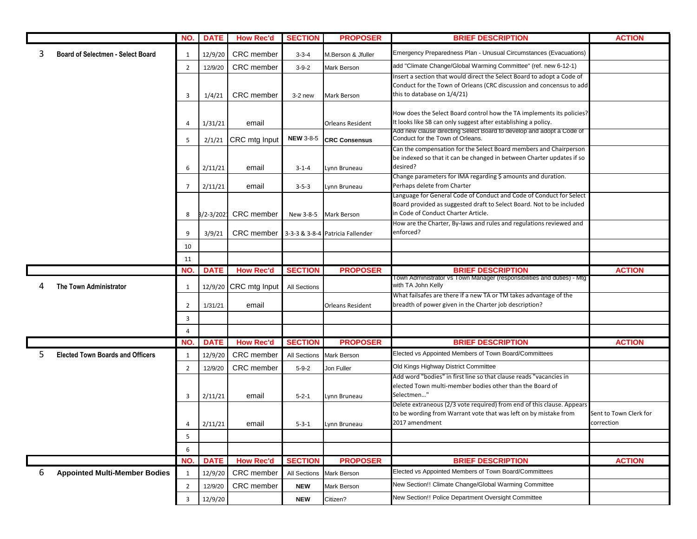|   |                                          | NO.            | <b>DATE</b> | <b>How Rec'd</b>      | <b>SECTION</b>      | <b>PROPOSER</b>                  | <b>BRIEF DESCRIPTION</b>                                                                                                                   | <b>ACTION</b>          |
|---|------------------------------------------|----------------|-------------|-----------------------|---------------------|----------------------------------|--------------------------------------------------------------------------------------------------------------------------------------------|------------------------|
| 3 | <b>Board of Selectmen - Select Board</b> | 1              | 12/9/20     | CRC member            | $3 - 3 - 4$         | M.Berson & Jfuller               | Emergency Preparedness Plan - Unusual Circumstances (Evacuations)                                                                          |                        |
|   |                                          | $\overline{2}$ | 12/9/20     | CRC member            | $3 - 9 - 2$         | Mark Berson                      | add "Climate Change/Global Warming Committee" (ref. new 6-12-1)                                                                            |                        |
|   |                                          |                |             |                       |                     |                                  | Insert a section that would direct the Select Board to adopt a Code of                                                                     |                        |
|   |                                          |                |             |                       |                     |                                  | Conduct for the Town of Orleans (CRC discussion and concensus to add                                                                       |                        |
|   |                                          | 3              | 1/4/21      | CRC member            | $3-2$ new           | Mark Berson                      | this to database on 1/4/21)                                                                                                                |                        |
|   |                                          |                |             |                       |                     |                                  |                                                                                                                                            |                        |
|   |                                          |                |             |                       |                     |                                  | How does the Select Board control how the TA implements its policies?<br>It looks like SB can only suggest after establishing a policy.    |                        |
|   |                                          | $\overline{4}$ | 1/31/21     | email                 |                     | <b>Orleans Resident</b>          | Add new clause directing Select Board to develop and adopt a Code of                                                                       |                        |
|   |                                          | 5              | 2/1/21      | CRC mtg Input         | <b>NEW 3-8-5</b>    | <b>CRC Consensus</b>             | Conduct for the Town of Orleans.                                                                                                           |                        |
|   |                                          |                |             |                       |                     |                                  | Can the compensation for the Select Board members and Chairperson<br>be indexed so that it can be changed in between Charter updates if so |                        |
|   |                                          | 6              |             | email                 |                     |                                  | desired?                                                                                                                                   |                        |
|   |                                          |                | 2/11/21     |                       | $3 - 1 - 4$         | Lynn Bruneau                     | Change parameters for IMA regarding \$ amounts and duration.                                                                               |                        |
|   |                                          | 7              | 2/11/21     | email                 | $3 - 5 - 3$         | Lynn Bruneau                     | Perhaps delete from Charter                                                                                                                |                        |
|   |                                          |                |             |                       |                     |                                  | Language for General Code of Conduct and Code of Conduct for Select                                                                        |                        |
|   |                                          |                |             |                       |                     |                                  | Board provided as suggested draft to Select Board. Not to be included                                                                      |                        |
|   |                                          | 8              |             | 8/2-3/2021 CRC member |                     | New 3-8-5 Mark Berson            | in Code of Conduct Charter Article.                                                                                                        |                        |
|   |                                          |                |             |                       |                     |                                  | How are the Charter, By-laws and rules and regulations reviewed and                                                                        |                        |
|   |                                          | q              | 3/9/21      | <b>CRC</b> member     |                     | 3-3-3 & 3-8-4 Patricia Fallender | enforced?                                                                                                                                  |                        |
|   |                                          | 10             |             |                       |                     |                                  |                                                                                                                                            |                        |
|   |                                          | 11             |             |                       |                     |                                  |                                                                                                                                            |                        |
|   |                                          | NO.            | <b>DATE</b> | <b>How Rec'd</b>      | <b>SECTION</b>      | <b>PROPOSER</b>                  | <b>BRIEF DESCRIPTION</b>                                                                                                                   | <b>ACTION</b>          |
| 4 | The Town Administrator                   | 1              |             | 12/9/20 CRC mtg Input | <b>All Sections</b> |                                  | Town Administrator vs Town Manager (responsibilities and duties) - Mtg<br>with TA John Kelly                                               |                        |
|   |                                          |                |             |                       |                     |                                  | What failsafes are there if a new TA or TM takes advantage of the                                                                          |                        |
|   |                                          | 2              | 1/31/21     | email                 |                     | <b>Orleans Resident</b>          | breadth of power given in the Charter job description?                                                                                     |                        |
|   |                                          | 3              |             |                       |                     |                                  |                                                                                                                                            |                        |
|   |                                          | $\overline{4}$ |             |                       |                     |                                  |                                                                                                                                            |                        |
|   |                                          | NO.            | <b>DATE</b> | <b>How Rec'd</b>      | <b>SECTION</b>      | <b>PROPOSER</b>                  | <b>BRIEF DESCRIPTION</b>                                                                                                                   | <b>ACTION</b>          |
| 5 | <b>Elected Town Boards and Officers</b>  | 1              | 12/9/20     | CRC member            | All Sections        | <b>Mark Berson</b>               | Elected vs Appointed Members of Town Board/Committees                                                                                      |                        |
|   |                                          | $\overline{2}$ | 12/9/20     | CRC member            | $5 - 9 - 2$         | Jon Fuller                       | Old Kings Highway District Committee                                                                                                       |                        |
|   |                                          |                |             |                       |                     |                                  | Add word "bodies" in first line so that clause reads "vacancies in                                                                         |                        |
|   |                                          |                |             |                       |                     |                                  | elected Town multi-member bodies other than the Board of<br>Selectmen"                                                                     |                        |
|   |                                          | 3              | 2/11/21     | email                 | $5 - 2 - 1$         | Lynn Bruneau                     | Delete extraneous (2/3 vote required) from end of this clause. Appears                                                                     |                        |
|   |                                          |                |             |                       |                     |                                  | to be wording from Warrant vote that was left on by mistake from                                                                           | Sent to Town Clerk for |
|   |                                          | 4              | 2/11/21     | email                 | $5 - 3 - 1$         | Lynn Bruneau                     | 2017 amendment                                                                                                                             | correction             |
|   |                                          | 5              |             |                       |                     |                                  |                                                                                                                                            |                        |
|   |                                          | 6              |             |                       |                     |                                  |                                                                                                                                            |                        |
|   |                                          | NO.            | <b>DATE</b> | <b>How Rec'd</b>      | <b>SECTION</b>      | <b>PROPOSER</b>                  | <b>BRIEF DESCRIPTION</b>                                                                                                                   | <b>ACTION</b>          |
| 6 | <b>Appointed Multi-Member Bodies</b>     | 1              | 12/9/20     | CRC member            | All Sections        | Mark Berson                      | Elected vs Appointed Members of Town Board/Committees                                                                                      |                        |
|   |                                          | $\overline{2}$ | 12/9/20     | CRC member            | <b>NEW</b>          | Mark Berson                      | New Section!! Climate Change/Global Warming Committee                                                                                      |                        |
|   |                                          | 3              | 12/9/20     |                       | <b>NEW</b>          | Citizen?                         | New Section!! Police Department Oversight Committee                                                                                        |                        |
|   |                                          |                |             |                       |                     |                                  |                                                                                                                                            |                        |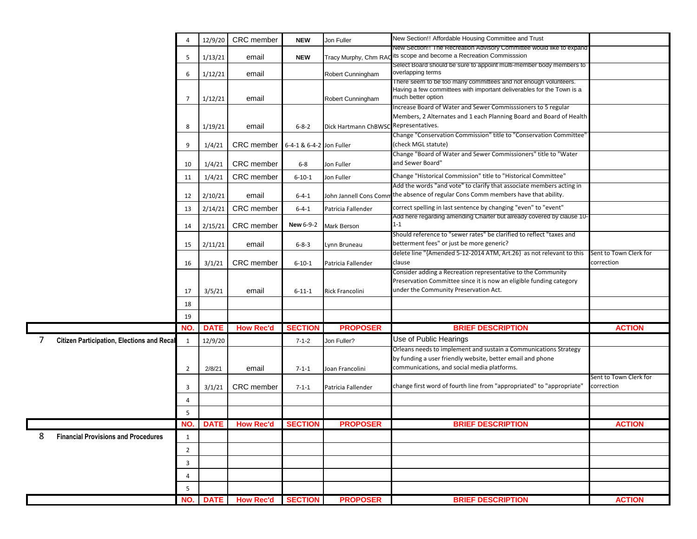|   |                                                   | 4              | 12/9/20     | CRC member                 | <b>NEW</b>               | Jon Fuller             | New Section!! Affordable Housing Committee and Trust                                                                                     |                        |
|---|---------------------------------------------------|----------------|-------------|----------------------------|--------------------------|------------------------|------------------------------------------------------------------------------------------------------------------------------------------|------------------------|
|   |                                                   |                |             |                            |                          |                        | New Section!! The Recreation Advisory Committee would like to expand<br>its scope and become a Recreation Commisssion                    |                        |
|   |                                                   | 5              | 1/13/21     | email                      | <b>NEW</b>               | Tracy Murphy, Chm RA   | Select Board should be sure to appoint multi-member body members to                                                                      |                        |
|   |                                                   | 6              | 1/12/21     | email                      |                          | Robert Cunningham      | overlapping terms                                                                                                                        |                        |
|   |                                                   |                |             |                            |                          |                        | There seem to be too many committees and not enough volunteers.<br>Having a few committees with important deliverables for the Town is a |                        |
|   |                                                   | $\overline{7}$ | 1/12/21     | email                      |                          | Robert Cunningham      | much better option                                                                                                                       |                        |
|   |                                                   |                |             |                            |                          |                        | Increase Board of Water and Sewer Commisssioners to 5 regular                                                                            |                        |
|   |                                                   |                |             |                            |                          |                        | Members, 2 Alternates and 1 each Planning Board and Board of Health                                                                      |                        |
|   |                                                   | 8              | 1/19/21     | email                      | $6 - 8 - 2$              | Dick Hartmann ChBWSO   | Representatives.<br>Change "Conservation Commission" title to "Conservation Committee'                                                   |                        |
|   |                                                   | 9              | 1/4/21      | CRC member                 | 6-4-1 & 6-4-2 Jon Fuller |                        | (check MGL statute)                                                                                                                      |                        |
|   |                                                   |                |             |                            |                          |                        | Change "Board of Water and Sewer Commissioners" title to "Water                                                                          |                        |
|   |                                                   | 10             | 1/4/21      | CRC member                 | $6-8$                    | Jon Fuller             | and Sewer Board"                                                                                                                         |                        |
|   |                                                   | 11             | 1/4/21      | CRC member                 | $6 - 10 - 1$             | Jon Fuller             | Change "Historical Commission" title to "Historical Committee"                                                                           |                        |
|   |                                                   |                |             |                            |                          |                        | Add the words "and vote" to clarify that associate members acting in                                                                     |                        |
|   |                                                   | 12             | 2/10/21     | email                      | $6 - 4 - 1$              | John Jannell Cons Comi | the absence of regular Cons Comm members have that ability.                                                                              |                        |
|   |                                                   | 13             | 2/14/21     | CRC member                 | $6 - 4 - 1$              | Patricia Fallender     | correct spelling in last sentence by changing "even" to "event"                                                                          |                        |
|   |                                                   | 14             | 2/15/21     | CRC member                 | <b>New 6-9-2</b>         | Mark Berson            | Add here regarding amending Charter but already covered by clause 10-<br>$1 - 1$                                                         |                        |
|   |                                                   |                |             |                            |                          |                        | Should reference to "sewer rates" be clarified to reflect "taxes and                                                                     |                        |
|   |                                                   | 15             | 2/11/21     | email                      | $6 - 8 - 3$              | Lynn Bruneau           | betterment fees" or just be more generic?<br>delete line "{Amended 5-12-2014 ATM, Art.26} as not relevant to this                        | Sent to Town Clerk for |
|   |                                                   | 16             | 3/1/21      | CRC member                 | $6 - 10 - 1$             | Patricia Fallender     | clause                                                                                                                                   | correction             |
|   |                                                   |                |             |                            |                          |                        | Consider adding a Recreation representative to the Community                                                                             |                        |
|   |                                                   |                |             |                            |                          |                        | Preservation Committee since it is now an eligible funding category                                                                      |                        |
|   |                                                   | 17             | 3/5/21      | email                      | $6 - 11 - 1$             | Rick Francolini        | under the Community Preservation Act.                                                                                                    |                        |
|   |                                                   | 18             |             |                            |                          |                        |                                                                                                                                          |                        |
|   |                                                   | 19             |             |                            |                          |                        |                                                                                                                                          |                        |
|   |                                                   | NO.            | <b>DATE</b> | <b>How Rec'd</b>           | <b>SECTION</b>           | <b>PROPOSER</b>        | <b>BRIEF DESCRIPTION</b>                                                                                                                 | <b>ACTION</b>          |
| 7 | <b>Citizen Participation, Elections and Recal</b> | $\mathbf{1}$   | 12/9/20     |                            | $7 - 1 - 2$              | Jon Fuller?            | Use of Public Hearings                                                                                                                   |                        |
|   |                                                   |                |             |                            |                          |                        | Orleans needs to implement and sustain a Communications Strategy<br>by funding a user friendly website, better email and phone           |                        |
|   |                                                   | $\overline{2}$ | 2/8/21      | email                      | $7 - 1 - 1$              | Joan Francolini        | communications, and social media platforms.                                                                                              |                        |
|   |                                                   |                |             |                            |                          |                        |                                                                                                                                          | Sent to Town Clerk for |
|   |                                                   | 3              | 3/1/21      | <b>CRC</b> member          | $7 - 1 - 1$              | Patricia Fallender     | change first word of fourth line from "appropriated" to "appropriate"                                                                    | correction             |
|   |                                                   | $\overline{4}$ |             |                            |                          |                        |                                                                                                                                          |                        |
|   |                                                   | 5              |             |                            |                          |                        |                                                                                                                                          |                        |
|   |                                                   |                |             | NO. DATE How Rec'd SECTION |                          | <b>PROPOSER</b>        | <b>BRIEF DESCRIPTION</b>                                                                                                                 | <b>ACTION</b>          |
| 8 | <b>Financial Provisions and Procedures</b>        | $\mathbf{1}$   |             |                            |                          |                        |                                                                                                                                          |                        |
|   |                                                   | $\overline{2}$ |             |                            |                          |                        |                                                                                                                                          |                        |
|   |                                                   |                |             |                            |                          |                        |                                                                                                                                          |                        |
|   |                                                   | 3              |             |                            |                          |                        |                                                                                                                                          |                        |
|   |                                                   | 4              |             |                            |                          |                        |                                                                                                                                          |                        |
|   |                                                   | 5              |             |                            |                          |                        |                                                                                                                                          |                        |
|   |                                                   | NO.            | <b>DATE</b> | <b>How Rec'd</b>           | <b>SECTION</b>           | <b>PROPOSER</b>        | <b>BRIEF DESCRIPTION</b>                                                                                                                 | <b>ACTION</b>          |